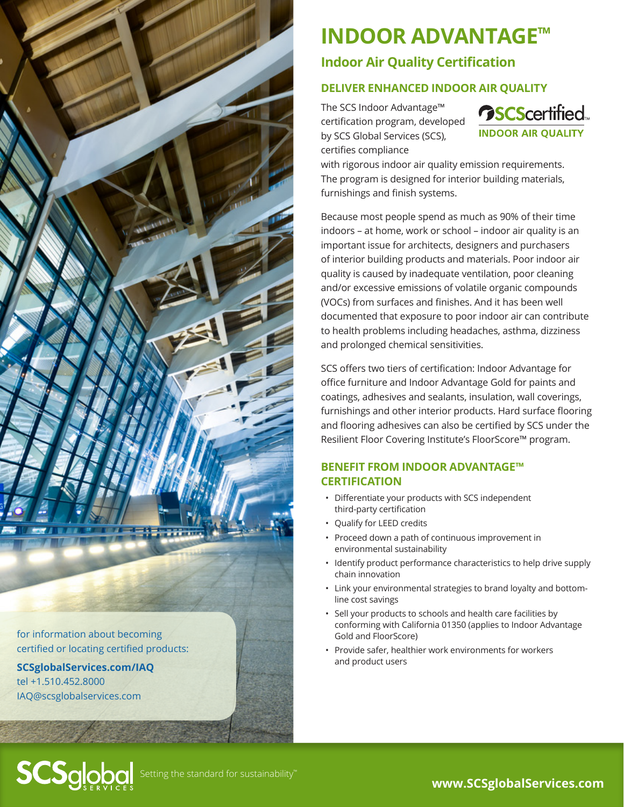

for information about becoming certified or locating certified products:

**[SCSglobalServices.com/I](http://SCSglobalServices.com/IndoorAdvantage
)AQ** tel +1.510.452.8000 [IAQ@scsglobalservices.com](mailto:IAQ%40scsglobalservices.com?subject=)

**SCS**global

# **INDOOR ADVANTAGE™**

## **Indoor Air Quality Certification**

### **DELIVER ENHANCED INDOOR AIR QUALITY**

The SCS Indoor Advantage™ certification program, developed by SCS Global Services (SCS), certifies compliance



with rigorous indoor air quality emission requirements. The program is designed for interior building materials, furnishings and finish systems.

Because most people spend as much as 90% of their time indoors – at home, work or school – indoor air quality is an important issue for architects, designers and purchasers of interior building products and materials. Poor indoor air quality is caused by inadequate ventilation, poor cleaning and/or excessive emissions of volatile organic compounds (VOCs) from surfaces and finishes. And it has been well documented that exposure to poor indoor air can contribute to health problems including headaches, asthma, dizziness and prolonged chemical sensitivities.

SCS offers two tiers of certification: Indoor Advantage for office furniture and Indoor Advantage Gold for paints and coatings, adhesives and sealants, insulation, wall coverings, furnishings and other interior products. Hard surface flooring and flooring adhesives can also be certified by SCS under the Resilient Floor Covering Institute's FloorScore™ program.

#### **BENEFIT FROM INDOOR ADVANTAGE™ CERTIFICATION**

- Differentiate your products with SCS independent third-party certification
- Qualify for LEED credits
- Proceed down a path of continuous improvement in environmental sustainability
- Identify product performance characteristics to help drive supply chain innovation
- Link your environmental strategies to brand loyalty and bottomline cost savings
- Sell your products to schools and health care facilities by conforming with California 01350 (applies to Indoor Advantage Gold and FloorScore)
- Provide safer, healthier work environments for workers and product users